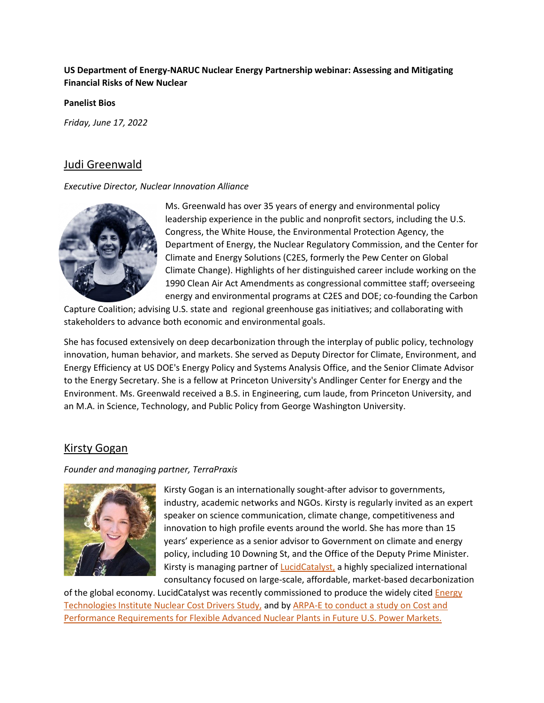### **US Department of Energy-NARUC Nuclear Energy Partnership webinar: Assessing and Mitigating Financial Risks of New Nuclear**

**Panelist Bios**

*Friday, June 17, 2022*

## Judi Greenwald

#### *Executive Director, Nuclear Innovation Alliance*



Ms. Greenwald has over 35 years of energy and environmental policy leadership experience in the public and nonprofit sectors, including the U.S. Congress, the White House, the Environmental Protection Agency, the Department of Energy, the Nuclear Regulatory Commission, and the Center for Climate and Energy Solutions (C2ES, formerly the Pew Center on Global Climate Change). Highlights of her distinguished career include working on the 1990 Clean Air Act Amendments as congressional committee staff; overseeing energy and environmental programs at C2ES and DOE; co-founding the Carbon

Capture Coalition; advising U.S. state and regional greenhouse gas initiatives; and collaborating with stakeholders to advance both economic and environmental goals.

She has focused extensively on deep decarbonization through the interplay of public policy, technology innovation, human behavior, and markets. She served as Deputy Director for Climate, Environment, and Energy Efficiency at US DOE's Energy Policy and Systems Analysis Office, and the Senior Climate Advisor to the Energy Secretary. She is a fellow at Princeton University's Andlinger Center for Energy and the Environment. Ms. Greenwald received a B.S. in Engineering, cum laude, from Princeton University, and an M.A. in Science, Technology, and Public Policy from George Washington University.

## Kirsty Gogan

### *Founder and managing partner, TerraPraxis*



Kirsty Gogan is an internationally sought-after advisor to governments, industry, academic networks and NGOs. Kirsty is regularly invited as an expert speaker on science communication, climate change, competitiveness and innovation to high profile events around the world. She has more than 15 years' experience as a senior advisor to Government on climate and energy policy, including 10 Downing St, and the Office of the Deputy Prime Minister. Kirsty is managing partner of **LucidCatalyst**, a highly specialized international consultancy focused on large-scale, affordable, market-based decarbonization

of the global economy. LucidCatalyst was recently commissioned to produce the widely cited Energy Technologies Institute Nuclear Cost Drivers Study, and by ARPA-E to conduct a study on Cost and Performance Requirements for Flexible Advanced Nuclear Plants in Future U.S. Power Markets.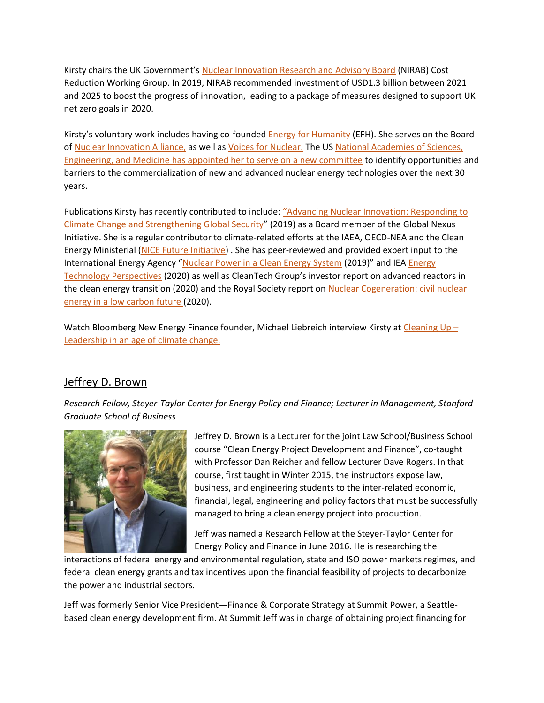Kirsty chairs the UK Government's [Nuclear Innovation Research and Advisory Board](https://www.nirab.org.uk/) (NIRAB) Cost Reduction Working Group. In 2019, NIRAB recommended investment of USD1.3 billion between 2021 and 2025 to boost the progress of innovation, leading to a package of measures designed to support UK net zero goals in 2020.

Kirsty's voluntary work includes having co-founded **[Energy for Humanity](https://energyforhumanity.org/en/)** (EFH). She serves on the Board of [Nuclear Innovation Alliance,](https://www.nuclearinnovationalliance.org/) as well as [Voices for Nuclear.](https://www.voicesofnuclear.org/) The US [National Academies of Sciences,](https://www.nationalacademies.org/our-work/laying-the-foundation-for-new-and-advanced-nuclear-reactors-in-the-united-states#sl-three-columns-b53a8dcc-c3c6-4254-99db-c1159ef7c3f3)  [Engineering, and Medicine has appointed her to serve on a new committee](https://www.nationalacademies.org/our-work/laying-the-foundation-for-new-and-advanced-nuclear-reactors-in-the-united-states#sl-three-columns-b53a8dcc-c3c6-4254-99db-c1159ef7c3f3) to identify opportunities and barriers to the commercialization of new and advanced nuclear energy technologies over the next 30 years.

Publications Kirsty has recently contributed to include: ["Advancing Nuclear Innovation: Responding to](https://globalnexusinitiative.org/)  [Climate Change and Strengthening Global Security](https://globalnexusinitiative.org/)" (2019) as a Board member of the Global Nexus Initiative. She is a regular contributor to climate-related efforts at the IAEA, OECD-NEA and the Clean Energy Ministerial [\(NICE Future Initiative\)](https://www.nice-future.org/flexible-nuclear-energy-clean-energy-systems.html) . She has peer-reviewed and provided expert input to the International Energy Agency "[Nuclear Power in a Clean Energy System](https://www.iea.org/reports/nuclear-power-in-a-clean-energy-system) (2019)" and IEA Energy [Technology Perspectives](https://www.iea.org/topics/energy-technology-perspectives) (2020) as well as CleanTech Group's investor report on advanced reactors in the clean energy transition (2020) and the Royal Society report on [Nuclear Cogeneration: civil nuclear](https://www.cleantech.com/advanced-nuclear-fissions-role-in-the-energy-transition/)  [energy in a low carbon future](https://www.cleantech.com/advanced-nuclear-fissions-role-in-the-energy-transition/) (2020).

Watch Bloomberg New Energy Finance founder, Michael Liebreich interview Kirsty at [Cleaning Up](https://www.cleaningup.live/) – [Leadership in an age of climate change.](https://www.cleaningup.live/)

# Jeffrey D. Brown

*Research Fellow, Steyer-Taylor Center for Energy Policy and Finance; Lecturer in Management, Stanford Graduate School of Business*



Jeffrey D. Brown is a Lecturer for the joint Law School/Business School course "Clean Energy Project Development and Finance", co-taught with Professor Dan Reicher and fellow Lecturer Dave Rogers. In that course, first taught in Winter 2015, the instructors expose law, business, and engineering students to the inter-related economic, financial, legal, engineering and policy factors that must be successfully managed to bring a clean energy project into production.

Jeff was named a Research Fellow at the Steyer-Taylor Center for Energy Policy and Finance in June 2016. He is researching the

interactions of federal energy and environmental regulation, state and ISO power markets regimes, and federal clean energy grants and tax incentives upon the financial feasibility of projects to decarbonize the power and industrial sectors.

Jeff was formerly Senior Vice President—Finance & Corporate Strategy at Summit Power, a Seattlebased clean energy development firm. At Summit Jeff was in charge of obtaining project financing for